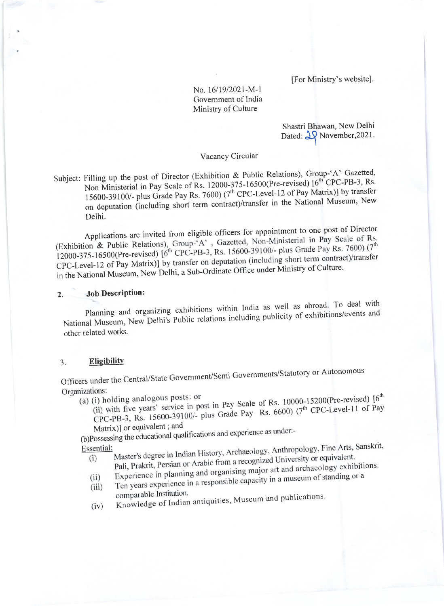[For Ministry's website].

No. 16/19/2021-M-1 Government of India Ministry of Culture

> Shastri Bhawan, New Delhi Dated:  $\frac{1}{2}$  November, 2021.

### Vacancy Circular

Subject: Filling up the post of Director (Exhibition & Public Relations), Group-'A' Gazetted, Non Ministerial in Pay Scale of Rs. 12000-375-16500(Pre-revised) [6<sup>th</sup> CPC-PB-3, Rs. 15600-39100/- plus Grade Pay Rs. 7600) (7<sup>th</sup> CPC-Level-12 of Pay Matrix)] by transfer on deputation (including short term contract)/transfer in the National Museum, New Delhi.

Applications are invited from eligible officers for appointment to one post of Director (Exhibition & Public Relations), Group-'A', Gazetted, Non-Ministerial in Pay Scale of Rs. 12000-375-16500(Pre-revised) [6<sup>th</sup> CPC-PB-3, Rs. 15600-39100/- plus Grade Pay Rs. 7600) (7<sup>th</sup> CPC-Level-12 of Pay Matrix)] by transfer on deputation (including short term contract)/transfer in the National Museum, New Delhi, a Sub-Ordinate Office under Ministry of Culture.

#### **Job Description:**  $2.$

Planning and organizing exhibitions within India as well as abroad. To deal with National Museum, New Delhi's Public relations including publicity of exhibitions/events and other related works.

#### Eligibility  $3.$

Officers under the Central/State Government/Semi Governments/Statutory or Autonomous Organizations:

(a) (i) holding analogous posts: or

(ii) with five years' service in post in Pay Scale of Rs. 10000-15200(Pre-revised) [6<sup>th</sup> CPC-PB-3, Rs. 15600-39100/- plus Grade Pay Rs. 6600)  $(7^{th}$  CPC-Level-11 of Pay

Matrix)] or equivalent; and (b)Possessing the educational qualifications and experience as under:-

- Master's degree in Indian History, Archaeology, Anthropology, Fine Arts, Sanskrit, Essential: Pali, Prakrit, Persian or Arabic from a recognized University or equivalent.  $(i)$ 
	- Experience in planning and organising major art and archaeology exhibitions.
	- Ten years experience in a responsible capacity in a museum of standing or a  $(ii)$
	- $(iii)$ comparable Institution.
	- Knowledge of Indian antiquities, Museum and publications.  $(iv)$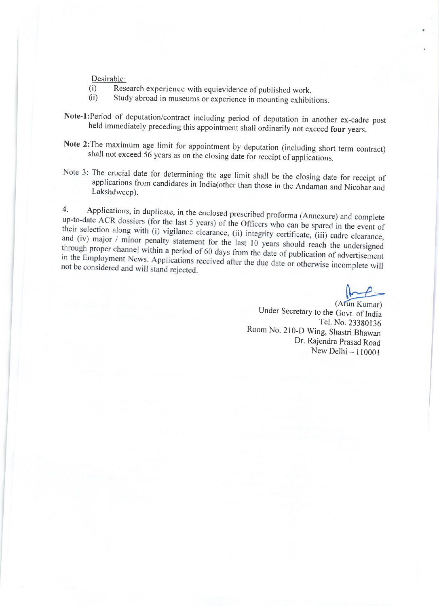Desirable:

(i) Research experience with equievidence of published work.<br>
(ii) Study abroad in museums or experience in mounting exhibitions.

Note-l:Period of deputation/contract including period of deputation in another ex-cadre post held immediately preceding this appointment shall ordinarily not exceed four years.

- Note 2: The maximum age limit for appointment by deputation (including short term contract) shall not exceed 56 years as on the closing date for receipt of applications.
- Note 3: The crucial date for determining the age limit shall be the closing date for receipt of applications from candidates in India(other than those in the Andaman and Nicobar and Lakshdweep).

4. Applications, in duplicate, in the enclosed prescribed proforma (Annexure) and complete up-to-date ACR dossiers (for the last 5 years) of the Officers who can be spared in the event of their selection along with (i) vigilance clearance, (ii) integrity certificate, (iii) cadre clearance,<br>and (iv) major / minor penalty statement for the lost 10 and (iv) major / minor penalty statement for the last 10 years should reach the undersigned<br>through proper channel within a period of 60 days from the last 10 years should reach the undersigned through proper channel within a period of 60 days from the date of publication of advertisement<br>in the Employment News. Applications received efter the duty of the distribution of advertisement in the Employment News. Applications received after the due date or otherwise incomplete will<br>not be considered and will stand rejected not be considered and will stand rejected.

(Arun Kumar) Under Secretary to the Govt. of India Tel. No. 23380136<br>Room No. 210-D Wing, Shastri Bhawan Dr. Rajendra prasad Road New Delhi - 110001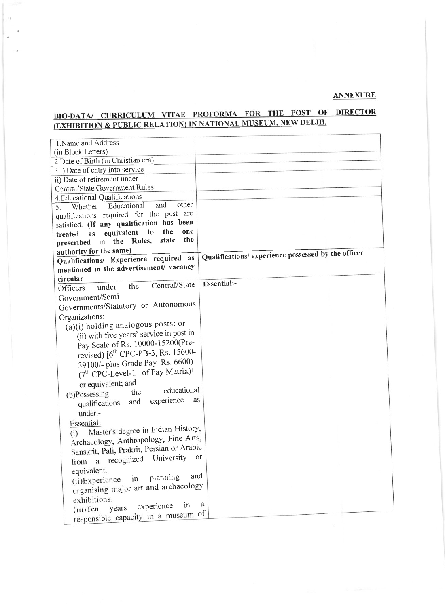## **ANNEXURE**

# BIO-DATA/ CURRICULUM VITAE PROFORMA FOR THE POST OF DIRECTOR (EXHIBITION & PUBLIC RELATION) IN NATIONAL MUSEUM, NEW DELHI.

| 1. Name and Address                                                       |                                                     |
|---------------------------------------------------------------------------|-----------------------------------------------------|
| (in Block Letters)                                                        |                                                     |
| 2. Date of Birth (in Christian era)                                       |                                                     |
| 3.i) Date of entry into service                                           |                                                     |
| ii) Date of retirement under                                              |                                                     |
| Central/State Government Rules                                            |                                                     |
| 4. Educational Qualifications                                             |                                                     |
| other<br>and<br>Whether Educational<br>5.                                 |                                                     |
| qualifications required for the post are                                  |                                                     |
| satisfied. (If any qualification has been<br>the<br>one                   |                                                     |
| to<br>equivalent<br><b>as</b><br>treated<br>the<br>state<br>in the Rules, |                                                     |
| prescribed                                                                |                                                     |
| authority for the same)<br>Qualifications/ Experience required as         | Qualifications/ experience possessed by the officer |
| mentioned in the advertisement/ vacancy                                   |                                                     |
| circular                                                                  |                                                     |
| Central/State<br>the<br>under<br>Officers                                 | Essential:-                                         |
| Government/Semi                                                           |                                                     |
| Governments/Statutory or Autonomous                                       |                                                     |
|                                                                           |                                                     |
| Organizations:<br>(a)(i) holding analogous posts: or                      |                                                     |
| (ii) with five years' service in post in                                  |                                                     |
| Pay Scale of Rs. 10000-15200(Pre-                                         |                                                     |
| revised) [6 <sup>th</sup> CPC-PB-3, Rs. 15600-                            |                                                     |
|                                                                           |                                                     |
| 39100/- plus Grade Pay Rs. 6600)                                          |                                                     |
| (7 <sup>th</sup> CPC-Level-11 of Pay Matrix)]                             |                                                     |
| or equivalent; and<br>educational                                         |                                                     |
| the<br>(b)Possessing<br>as                                                |                                                     |
| experience<br>and<br>qualifications                                       |                                                     |
| under:-                                                                   |                                                     |
| Essential:                                                                |                                                     |
| Master's degree in Indian History,<br>(i)                                 |                                                     |
| Archaeology, Anthropology, Fine Arts,                                     |                                                     |
| Sanskrit, Pali, Prakrit, Persian or Arabic                                | <sub>or</sub>                                       |
| from a recognized University                                              |                                                     |
| equivalent.                                                               |                                                     |
| and<br>(ii)Experience in planning                                         |                                                     |
| organising major art and archaeology                                      |                                                     |
| exhibitions.                                                              |                                                     |
| in<br>(iii)Ten years experience                                           | a                                                   |
| responsible capacity in a museum of                                       |                                                     |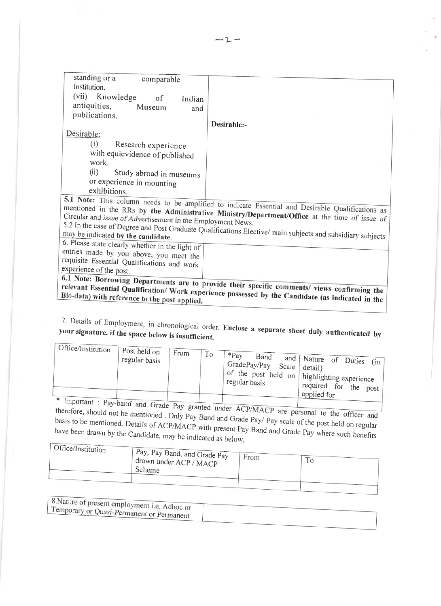| standing or a<br>comparable                                 |                                                                                                           |
|-------------------------------------------------------------|-----------------------------------------------------------------------------------------------------------|
| Institution.                                                |                                                                                                           |
| (vii) Knowledge<br>of<br>Indian                             |                                                                                                           |
| antiquities,<br>Museum<br>and                               |                                                                                                           |
| publications.                                               |                                                                                                           |
|                                                             | Desirable:-                                                                                               |
| Desirable:                                                  |                                                                                                           |
| (i)<br>Research experience                                  |                                                                                                           |
| with equievidence of published                              |                                                                                                           |
| work.                                                       |                                                                                                           |
| (ii)<br>Study abroad in museums                             |                                                                                                           |
| or experience in mounting                                   |                                                                                                           |
| exhibitions.                                                |                                                                                                           |
|                                                             |                                                                                                           |
|                                                             | 5.1 Note: This column needs to be amplified to indicate Essential and Desirable Qualifications as         |
| Circular and issue of Advertisement in the Employment News. | mentioned in the RRs by the Administrative Ministry/Department/Office at the time of issue of             |
|                                                             |                                                                                                           |
| may be indicated by the candidate.                          | 5.2 In the case of Degree and Post Graduate Qualifications Elective/main subjects and subsidiary subjects |
| 6. Please state clearly whether in the light of             |                                                                                                           |
| entries made by you above, you meet the                     |                                                                                                           |
| requisite Essential Qualifications and work                 |                                                                                                           |
| experience of the post.                                     |                                                                                                           |
|                                                             | 6.1 Note: Borrowing Departments are to provide their specific comments/ views confirming the              |
|                                                             |                                                                                                           |
| Bio-data) with reference to the post applied.               | relevant Essential Qualification/ Work experience possessed by the Candidate (as indicated in the         |
|                                                             |                                                                                                           |

7. Details of Employment, in chronological order. Enclose a separate sheet duly authenticated by your signature, if the space below is insufficient.

| Ger Office/Institution | Post held on<br>regular basis | From | To | $*Pav$<br>Band<br>$\int$ GradePay/Pay Scale $\int$ detail)<br>regular basis | and Nature of Duties (in<br>of the post held on   highlighting experience<br>$\int$ required for the post <sup>1</sup><br>applied for |
|------------------------|-------------------------------|------|----|-----------------------------------------------------------------------------|---------------------------------------------------------------------------------------------------------------------------------------|
|------------------------|-------------------------------|------|----|-----------------------------------------------------------------------------|---------------------------------------------------------------------------------------------------------------------------------------|

Important : Pay-band and Grade Pay granted under ACP/MACP are personal to the officer and therefore, should not be mentioned . Only Pay Band and Grade Pay/ Pay scale of the post held on regular basis to be mentioned. Details of ACP/MACP with present Pay Band and Grade Pay where such benefits have been drawn by the Candidate, may be indicated as below; 

| UIIIce/Institution | Pay, Pay Band, and Grade Pay |      |  |
|--------------------|------------------------------|------|--|
|                    | drawn under ACP / MACP       | From |  |
|                    | Scheme                       |      |  |
|                    |                              |      |  |

| $\frac{1}{2}$ . 8. Nature of present employment i.e. Adhoc or<br>$\frac{1}{2}$ emporary or Quasi-Permanent or Permanent |  |
|-------------------------------------------------------------------------------------------------------------------------|--|